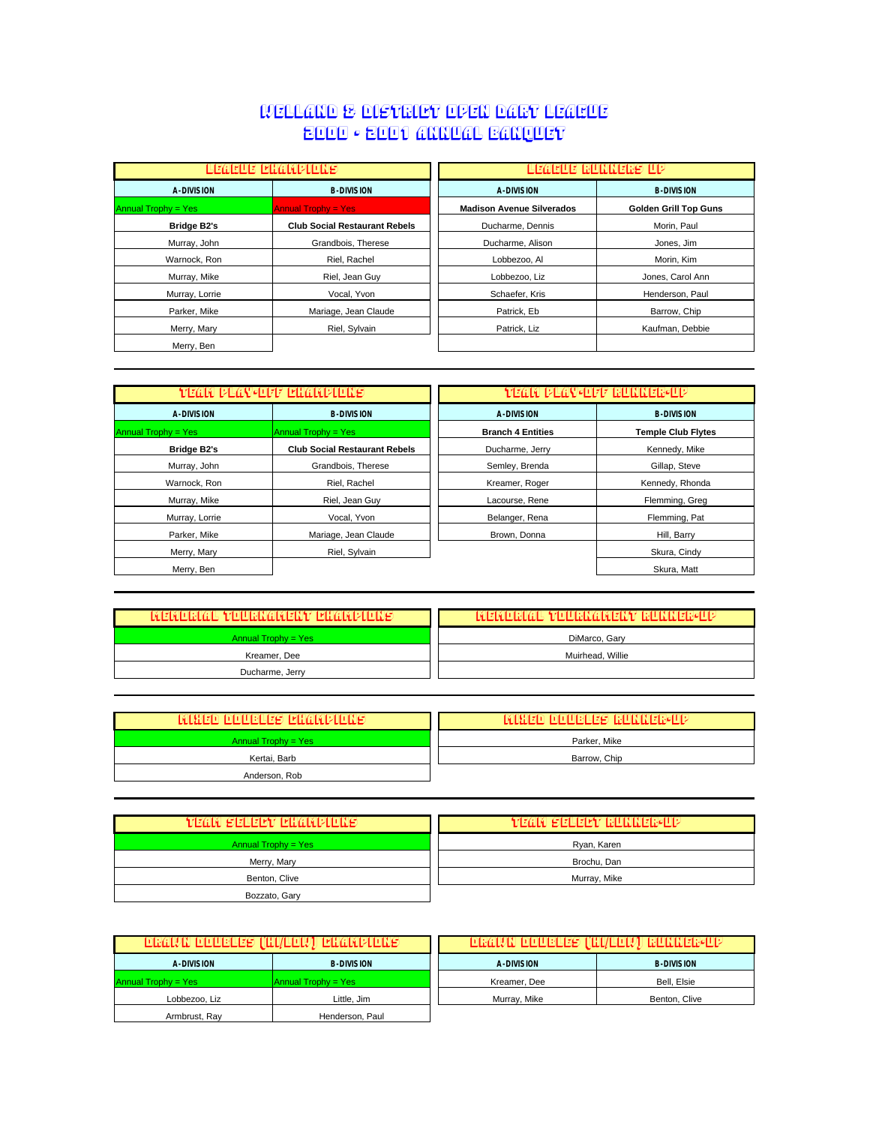## Welland & District Open Dart League 2000 - 2001 Annual Banquet

|                            | LEAGUE EHAMPIONS                     | LEAGUE GUNNEGS UP                |                              |
|----------------------------|--------------------------------------|----------------------------------|------------------------------|
| <b>A-DIVISION</b>          | <b>B-DIVISION</b>                    | <b>A-DIVISION</b>                | <b>B-DIVISION</b>            |
| <b>Annual Trophy = Yes</b> | <b>Annual Trophy = Yes</b>           | <b>Madison Avenue Silverados</b> | <b>Golden Grill Top Guns</b> |
| <b>Bridge B2's</b>         | <b>Club Social Restaurant Rebels</b> | Ducharme, Dennis                 | Morin, Paul                  |
| Murray, John               | Grandbois, Therese                   | Ducharme, Alison                 | Jones, Jim                   |
| Warnock, Ron               | Riel, Rachel                         | Lobbezoo, Al                     | Morin, Kim                   |
| Murray, Mike               | Riel, Jean Guy                       | Lobbezoo, Liz                    | Jones, Carol Ann             |
| Murray, Lorrie             | Vocal, Yvon                          | Schaefer, Kris                   | Henderson, Paul              |
| Parker, Mike               | Mariage, Jean Claude                 | Patrick. Eb                      | Barrow, Chip                 |
| Merry, Mary                | Riel, Sylvain                        | Patrick, Liz                     | Kaufman, Debbie              |
| Merry, Ben                 |                                      |                                  |                              |

|                     | TEAM PLAY-OFF EHAMPIONS              |                          | <b>TEAM PLAY-OFF RUNNER-UP</b> |
|---------------------|--------------------------------------|--------------------------|--------------------------------|
|                     |                                      |                          |                                |
| A-DIVISION          | <b>B-DIVISION</b>                    | A-DIVISION               | <b>B-DIVISION</b>              |
| Annual Trophy = Yes | Annual Trophy = $Yes$                | <b>Branch 4 Entities</b> | <b>Temple Club Flytes</b>      |
| <b>Bridge B2's</b>  | <b>Club Social Restaurant Rebels</b> | Ducharme, Jerry          | Kennedy, Mike                  |
| Murray, John        | Grandbois, Therese                   | Semley, Brenda           | Gillap, Steve                  |
| Warnock, Ron        | Riel, Rachel                         | Kreamer, Roger           | Kennedy, Rhonda                |
| Murray, Mike        | Riel, Jean Guy                       | Lacourse, Rene           | Flemming, Greg                 |
| Murray, Lorrie      | Vocal, Yvon                          | Belanger, Rena           | Flemming, Pat                  |
| Parker, Mike        | Mariage, Jean Claude                 | Brown, Donna             | Hill, Barry                    |
| Merry, Mary         | Riel, Sylvain                        |                          | Skura, Cindy                   |
| Merry, Ben          |                                      |                          | Skura, Matt                    |

| TYTETYTOIRI ATETORIAIN ATETYT TEI ATYTOIRI PINE | TY EIYD RIGE YN LLRIYG IYLEINY RUNNERELD |
|-------------------------------------------------|------------------------------------------|
| Annual Trophy = Yes                             | DiMarco, Gary                            |
| Kreamer, Dee                                    | Muirhead, Willie                         |
| Ducharme, Jerry                                 |                                          |

| MBRED DILIBERT BRADIUNG | IAI BIZIO DILILIBILIZATI BILININIZIBALI 2 |
|-------------------------|-------------------------------------------|
| Annual Trophy = $Yes$   | Parker, Mike                              |
| Kertai, Barb            | Barrow, Chip                              |
| Anderson, Rob           |                                           |

| VEAN SELECY CHAMPIONS | TEAM SELEBT RUNNER-UP |
|-----------------------|-----------------------|
| Annual Trophy = Yes   | Ryan, Karen           |
| Merry, Mary           | Brochu, Dan           |
| Benton, Clive         | Murray, Mike          |
| Bozzato, Gary         |                       |

| <b>DRAWN DOOBLES (HI/LOW) ENAMPIONS</b> |                     | <b>DRAWN DOUBLES (HI/LOW) RUNNER-UP</b> |                   |
|-----------------------------------------|---------------------|-----------------------------------------|-------------------|
| A-DIVISION                              | <b>B-DIVISION</b>   | <b>A-DIVISION</b>                       | <b>B-DIVISION</b> |
| Annual Trophy = Yes                     | Annual Trophy = Yes | Kreamer, Dee                            | Bell, Elsie       |
| Lobbezoo. Liz                           | Little, Jim         | Murray, Mike                            | Benton, Clive     |
| Armbrust, Ray                           | Henderson, Paul     |                                         |                   |